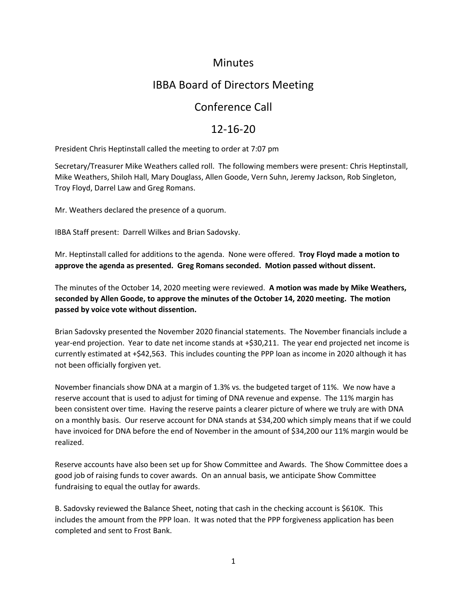### **Minutes**

# IBBA Board of Directors Meeting

## Conference Call

## 12-16-20

President Chris Heptinstall called the meeting to order at 7:07 pm

Secretary/Treasurer Mike Weathers called roll. The following members were present: Chris Heptinstall, Mike Weathers, Shiloh Hall, Mary Douglass, Allen Goode, Vern Suhn, Jeremy Jackson, Rob Singleton, Troy Floyd, Darrel Law and Greg Romans.

Mr. Weathers declared the presence of a quorum.

IBBA Staff present: Darrell Wilkes and Brian Sadovsky.

Mr. Heptinstall called for additions to the agenda. None were offered. **Troy Floyd made a motion to approve the agenda as presented. Greg Romans seconded. Motion passed without dissent.** 

The minutes of the October 14, 2020 meeting were reviewed. **A motion was made by Mike Weathers, seconded by Allen Goode, to approve the minutes of the October 14, 2020 meeting. The motion passed by voice vote without dissention.** 

Brian Sadovsky presented the November 2020 financial statements. The November financials include a year-end projection. Year to date net income stands at +\$30,211. The year end projected net income is currently estimated at +\$42,563. This includes counting the PPP loan as income in 2020 although it has not been officially forgiven yet.

November financials show DNA at a margin of 1.3% vs. the budgeted target of 11%. We now have a reserve account that is used to adjust for timing of DNA revenue and expense. The 11% margin has been consistent over time. Having the reserve paints a clearer picture of where we truly are with DNA on a monthly basis. Our reserve account for DNA stands at \$34,200 which simply means that if we could have invoiced for DNA before the end of November in the amount of \$34,200 our 11% margin would be realized.

Reserve accounts have also been set up for Show Committee and Awards. The Show Committee does a good job of raising funds to cover awards. On an annual basis, we anticipate Show Committee fundraising to equal the outlay for awards.

B. Sadovsky reviewed the Balance Sheet, noting that cash in the checking account is \$610K. This includes the amount from the PPP loan. It was noted that the PPP forgiveness application has been completed and sent to Frost Bank.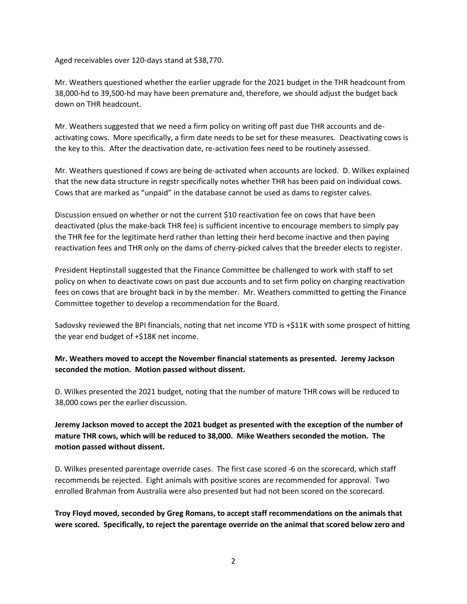Aged receivables over 120-days stand at \$38,770.

Mr. Weathers questioned whether the earlier upgrade for the 2021 budget in the THR headcount from 38,000-hd to 39,500-hd may have been premature and, therefore, we should adjust the budget back down on THR headcount.

Mr. Weathers suggested that we need a firm policy on writing off past due THR accounts and deactivating cows. More specifically, a firm date needs to be set for these measures. Deactivating cows is the key to this. After the deactivation date, re-activation fees need to be routinely assessed.

Mr. Weathers questioned if cows are being de-activated when accounts are locked. D. Wilkes explained that the new data structure in regstr specifically notes whether THR has been paid on individual cows. Cows that are marked as "unpaid" in the database cannot be used as dams to register calves.

Discussion ensued on whether or not the current \$10 reactivation fee on cows that have been deactivated (plus the make-back THR fee) is sufficient incentive to encourage members to simply pay the THR fee for the legitimate herd rather than letting their herd become inactive and then paying reactivation fees and THR only on the dams of cherry-picked calves that the breeder elects to register.

President Heptinstall suggested that the Finance Committee be challenged to work with staff to set policy on when to deactivate cows on past due accounts and to set firm policy on charging reactivation fees on cows that are brought back in by the member. Mr. Weathers committed to getting the Finance Committee together to develop a recommendation for the Board.

Sadovsky reviewed the BPI financials, noting that net income YTD is +\$11K with some prospect of hitting the year end budget of +\$18K net income.

#### **Mr. Weathers moved to accept the November financial statements as presented. Jeremy Jackson seconded the motion. Motion passed without dissent.**

D. Wilkes presented the 2021 budget, noting that the number of mature THR cows will be reduced to 38,000 cows per the earlier discussion.

### **Jeremy Jackson moved to accept the 2021 budget as presented with the exception of the number of mature THR cows, which will be reduced to 38,000. Mike Weathers seconded the motion. The motion passed without dissent.**

D. Wilkes presented parentage override cases. The first case scored -6 on the scorecard, which staff recommends be rejected. Eight animals with positive scores are recommended for approval. Two enrolled Brahman from Australia were also presented but had not been scored on the scorecard.

**Troy Floyd moved, seconded by Greg Romans, to accept staff recommendations on the animals that were scored. Specifically, to reject the parentage override on the animal that scored below zero and**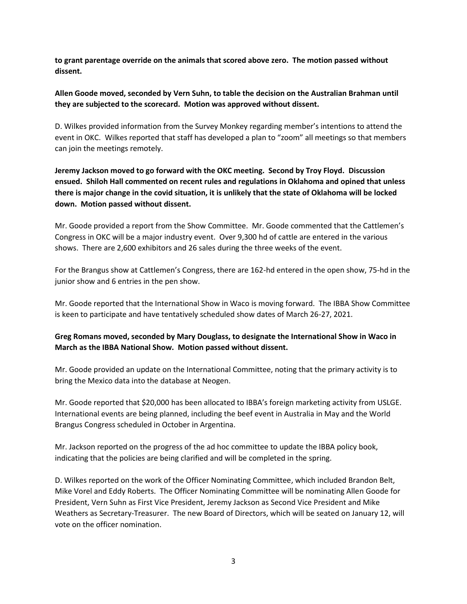**to grant parentage override on the animals that scored above zero. The motion passed without dissent.** 

#### **Allen Goode moved, seconded by Vern Suhn, to table the decision on the Australian Brahman until they are subjected to the scorecard. Motion was approved without dissent.**

D. Wilkes provided information from the Survey Monkey regarding member's intentions to attend the event in OKC. Wilkes reported that staff has developed a plan to "zoom" all meetings so that members can join the meetings remotely.

**Jeremy Jackson moved to go forward with the OKC meeting. Second by Troy Floyd. Discussion ensued. Shiloh Hall commented on recent rules and regulations in Oklahoma and opined that unless there is major change in the covid situation, it is unlikely that the state of Oklahoma will be locked down. Motion passed without dissent.** 

Mr. Goode provided a report from the Show Committee. Mr. Goode commented that the Cattlemen's Congress in OKC will be a major industry event. Over 9,300 hd of cattle are entered in the various shows. There are 2,600 exhibitors and 26 sales during the three weeks of the event.

For the Brangus show at Cattlemen's Congress, there are 162-hd entered in the open show, 75-hd in the junior show and 6 entries in the pen show.

Mr. Goode reported that the International Show in Waco is moving forward. The IBBA Show Committee is keen to participate and have tentatively scheduled show dates of March 26-27, 2021.

#### **Greg Romans moved, seconded by Mary Douglass, to designate the International Show in Waco in March as the IBBA National Show. Motion passed without dissent.**

Mr. Goode provided an update on the International Committee, noting that the primary activity is to bring the Mexico data into the database at Neogen.

Mr. Goode reported that \$20,000 has been allocated to IBBA's foreign marketing activity from USLGE. International events are being planned, including the beef event in Australia in May and the World Brangus Congress scheduled in October in Argentina.

Mr. Jackson reported on the progress of the ad hoc committee to update the IBBA policy book, indicating that the policies are being clarified and will be completed in the spring.

D. Wilkes reported on the work of the Officer Nominating Committee, which included Brandon Belt, Mike Vorel and Eddy Roberts. The Officer Nominating Committee will be nominating Allen Goode for President, Vern Suhn as First Vice President, Jeremy Jackson as Second Vice President and Mike Weathers as Secretary-Treasurer. The new Board of Directors, which will be seated on January 12, will vote on the officer nomination.